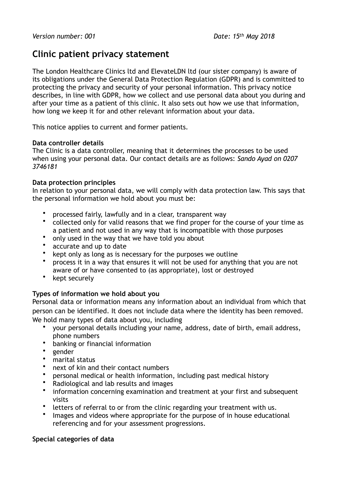# **Clinic patient privacy statement**

The London Healthcare Clinics ltd and ElevateLDN ltd (our sister company) is aware of its obligations under the General Data Protection Regulation (GDPR) and is committed to protecting the privacy and security of your personal information. This privacy notice describes, in line with GDPR, how we collect and use personal data about you during and after your time as a patient of this clinic. It also sets out how we use that information, how long we keep it for and other relevant information about your data.

This notice applies to current and former patients.

## **Data controller details**

The Clinic is a data controller, meaning that it determines the processes to be used when using your personal data. Our contact details are as follows: *Sando Ayad on 0207 3746181* 

## **Data protection principles**

In relation to your personal data, we will comply with data protection law. This says that the personal information we hold about you must be:

- processed fairly, lawfully and in a clear, transparent way<br>• collected only for valid reasons that we find proper for the
- collected only for valid reasons that we find proper for the course of your time as a patient and not used in any way that is incompatible with those purposes
- only used in the way that we have told you about
- accurate and up to date<br>• kent only as long as is no
- kept only as long as is necessary for the purposes we outline<br>• process it in a way that ensures it will not be used for anything
- process it in a way that ensures it will not be used for anything that you are not aware of or have consented to (as appropriate), lost or destroyed
- kept securely

# **Types of information we hold about you**

Personal data or information means any information about an individual from which that person can be identified. It does not include data where the identity has been removed. We hold many types of data about you, including

- your personal details including your name, address, date of birth, email address, phone numbers
- banking or financial information
- gender
- marital status
- next of kin and their contact numbers
- personal medical or health information, including past medical history
- Radiological and lab results and images
- information concerning examination and treatment at your first and subsequent visits
- letters of referral to or from the clinic regarding your treatment with us.
- Images and videos where appropriate for the purpose of in house educational referencing and for your assessment progressions.

## **Special categories of data**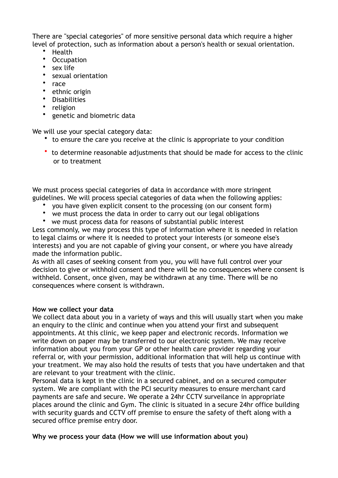There are "special categories" of more sensitive personal data which require a higher level of protection, such as information about a person's health or sexual orientation.

- Health<br>• Ossupe
- Occupation<br>• sex life
- sex life
- sexual orientation<br>• race
- race<br>•  $a$ <sub>rhn</sub>
- ethnic origin<br>• Disabilities
- Disabilities<br>• religion
- religion
- genetic and biometric data

We will use your special category data:

- to ensure the care you receive at the clinic is appropriate to your condition
- to determine reasonable adjustments that should be made for access to the clinic or to treatment

We must process special categories of data in accordance with more stringent guidelines. We will process special categories of data when the following applies:

- you have given explicit consent to the processing (on our consent form)
- we must process the data in order to carry out our legal obligations<br>• we must process data for reasons of substantial public interest
- we must process data for reasons of substantial public interest

Less commonly, we may process this type of information where it is needed in relation to legal claims or where it is needed to protect your interests (or someone else's interests) and you are not capable of giving your consent, or where you have already made the information public.

As with all cases of seeking consent from you, you will have full control over your decision to give or withhold consent and there will be no consequences where consent is withheld. Consent, once given, may be withdrawn at any time. There will be no consequences where consent is withdrawn.

## **How we collect your data**

We collect data about you in a variety of ways and this will usually start when you make an enquiry to the clinic and continue when you attend your first and subsequent appointments. At this clinic, we keep paper and electronic records. Information we write down on paper may be transferred to our electronic system. We may receive information about you from your GP or other health care provider regarding your referral or, with your permission, additional information that will help us continue with your treatment. We may also hold the results of tests that you have undertaken and that are relevant to your treatment with the clinic.

Personal data is kept in the clinic in a secured cabinet, and on a secured computer system. We are compliant with the PCI security measures to ensure merchant card payments are safe and secure. We operate a 24hr CCTV surveilance in appropriate places around the clinic and Gym. The clinic is situated in a secure 24hr office building with security guards and CCTV off premise to ensure the safety of theft along with a secured office premise entry door.

## **Why we process your data (How we will use information about you)**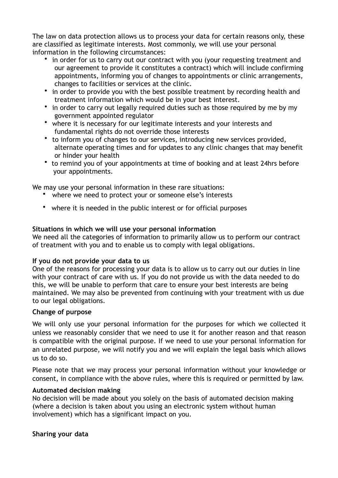The law on data protection allows us to process your data for certain reasons only, these are classified as legitimate interests. Most commonly, we will use your personal information in the following circumstances:

- in order for us to carry out our contract with you (your requesting treatment and our agreement to provide it constitutes a contract) which will include confirming appointments, informing you of changes to appointments or clinic arrangements, changes to facilities or services at the clinic.
- in order to provide you with the best possible treatment by recording health and treatment information which would be in your best interest.
- in order to carry out legally required duties such as those required by me by my government appointed regulator
- where it is necessary for our legitimate interests and your interests and fundamental rights do not override those interests
- to inform you of changes to our services, introducing new services provided, alternate operating times and for updates to any clinic changes that may benefit or hinder your health
- to remind you of your appointments at time of booking and at least 24hrs before your appointments.

We may use your personal information in these rare situations:

- where we need to protect your or someone else's interests
- where it is needed in the public interest or for official purposes

# **Situations in which we will use your personal information**

We need all the categories of information to primarily allow us to perform our contract of treatment with you and to enable us to comply with legal obligations.

# **If you do not provide your data to us**

One of the reasons for processing your data is to allow us to carry out our duties in line with your contract of care with us. If you do not provide us with the data needed to do this, we will be unable to perform that care to ensure your best interests are being maintained. We may also be prevented from continuing with your treatment with us due to our legal obligations.

# **Change of purpose**

We will only use your personal information for the purposes for which we collected it unless we reasonably consider that we need to use it for another reason and that reason is compatible with the original purpose. If we need to use your personal information for an unrelated purpose, we will notify you and we will explain the legal basis which allows us to do so.

Please note that we may process your personal information without your knowledge or consent, in compliance with the above rules, where this is required or permitted by law.

# **Automated decision making**

No decision will be made about you solely on the basis of automated decision making (where a decision is taken about you using an electronic system without human involvement) which has a significant impact on you.

# **Sharing your data**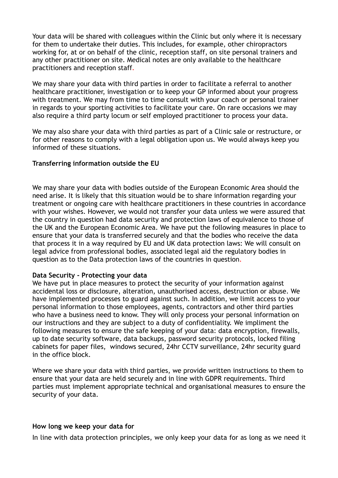Your data will be shared with colleagues within the Clinic but only where it is necessary for them to undertake their duties. This includes, for example, other chiropractors working for, at or on behalf of the clinic, reception staff, on site personal trainers and any other practitioner on site. Medical notes are only available to the healthcare practitioners and reception staff*.*

We may share your data with third parties in order to facilitate a referral to another healthcare practitioner, investigation or to keep your GP informed about your progress with treatment. We may from time to time consult with your coach or personal trainer in regards to your sporting activities to facilitate your care. On rare occasions we may also require a third party locum or self employed practitioner to process your data.

We may also share your data with third parties as part of a Clinic sale or restructure, or for other reasons to comply with a legal obligation upon us. We would always keep you informed of these situations.

## **Transferring information outside the EU**

We may share your data with bodies outside of the European Economic Area should the need arise. It is likely that this situation would be to share information regarding your treatment or ongoing care with healthcare practitioners in these countries in accordance with your wishes. However, we would not transfer your data unless we were assured that the country in question had data security and protection laws of equivalence to those of the UK and the European Economic Area. We have put the following measures in place to ensure that your data is transferred securely and that the bodies who receive the data that process it in a way required by EU and UK data protection laws: We will consult on legal advice from professional bodies, associated legal aid the regulatory bodies in question as to the Data protection laws of the countries in question*.*

## **Data Security - Protecting your data**

We have put in place measures to protect the security of your information against accidental loss or disclosure, alteration, unauthorised access, destruction or abuse. We have implemented processes to guard against such. In addition, we limit access to your personal information to those employees, agents, contractors and other third parties who have a business need to know. They will only process your personal information on our instructions and they are subject to a duty of confidentiality. We impliment the following measures to ensure the safe keeping of your data: data encryption, firewalls, up to date security software, data backups, password security protocols, locked filing cabinets for paper files, windows secured, 24hr CCTV surveillance, 24hr security guard in the office block.

Where we share your data with third parties, we provide written instructions to them to ensure that your data are held securely and in line with GDPR requirements. Third parties must implement appropriate technical and organisational measures to ensure the security of your data.

## **How long we keep your data for**

In line with data protection principles, we only keep your data for as long as we need it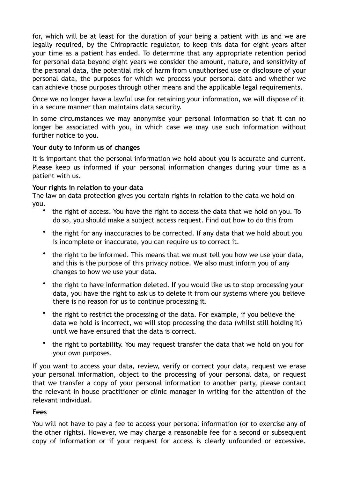for, which will be at least for the duration of your being a patient with us and we are legally required, by the Chiropractic regulator, to keep this data for eight years after your time as a patient has ended. To determine that any appropriate retention period for personal data beyond eight years we consider the amount, nature, and sensitivity of the personal data, the potential risk of harm from unauthorised use or disclosure of your personal data, the purposes for which we process your personal data and whether we can achieve those purposes through other means and the applicable legal requirements.

Once we no longer have a lawful use for retaining your information, we will dispose of it in a secure manner than maintains data security.

In some circumstances we may anonymise your personal information so that it can no longer be associated with you, in which case we may use such information without further notice to you.

## **Your duty to inform us of changes**

It is important that the personal information we hold about you is accurate and current. Please keep us informed if your personal information changes during your time as a patient with us.

## **Your rights in relation to your data**

The law on data protection gives you certain rights in relation to the data we hold on you.

- the right of access. You have the right to access the data that we hold on you. To do so, you should make a subject access request. Find out how to do this from
- the right for any inaccuracies to be corrected. If any data that we hold about you is incomplete or inaccurate, you can require us to correct it.
- the right to be informed. This means that we must tell you how we use your data, and this is the purpose of this privacy notice. We also must inform you of any changes to how we use your data.
- the right to have information deleted. If you would like us to stop processing your data, you have the right to ask us to delete it from our systems where you believe there is no reason for us to continue processing it.
- the right to restrict the processing of the data. For example, if you believe the data we hold is incorrect, we will stop processing the data (whilst still holding it) until we have ensured that the data is correct.
- the right to portability. You may request transfer the data that we hold on you for your own purposes.

If you want to access your data, review, verify or correct your data, request we erase your personal information, object to the processing of your personal data, or request that we transfer a copy of your personal information to another party, please contact the relevant in house practitioner or clinic manager in writing for the attention of the relevant individual.

## **Fees**

You will not have to pay a fee to access your personal information (or to exercise any of the other rights). However, we may charge a reasonable fee for a second or subsequent copy of information or if your request for access is clearly unfounded or excessive.